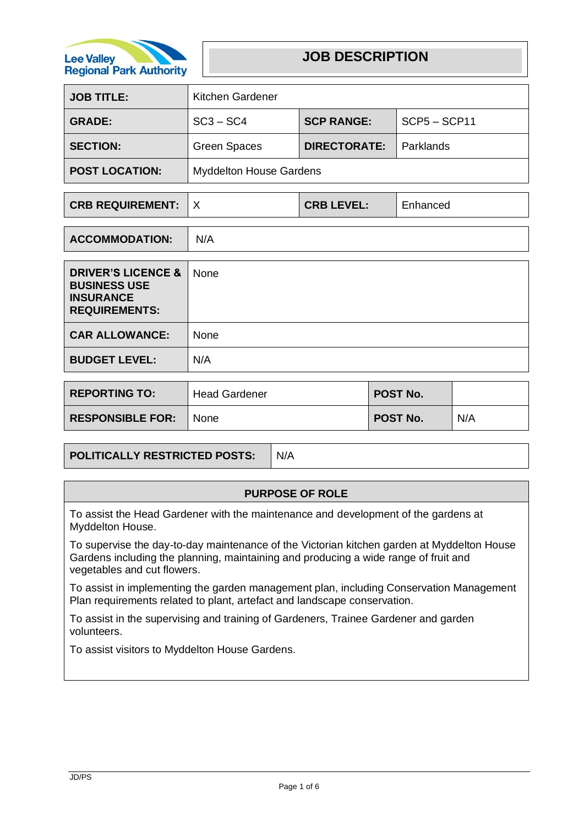

# **JOB DESCRIPTION**

| <b>JOB TITLE:</b>                                                                                | Kitchen Gardener               |                     |  |                |  |
|--------------------------------------------------------------------------------------------------|--------------------------------|---------------------|--|----------------|--|
| <b>GRADE:</b>                                                                                    | $SC3 - SC4$                    | <b>SCP RANGE:</b>   |  | $SCP5 - SCP11$ |  |
| <b>SECTION:</b>                                                                                  | <b>Green Spaces</b>            | <b>DIRECTORATE:</b> |  | Parklands      |  |
| <b>POST LOCATION:</b>                                                                            | <b>Myddelton House Gardens</b> |                     |  |                |  |
| <b>CRB REQUIREMENT:</b>                                                                          | X                              | <b>CRB LEVEL:</b>   |  | Enhanced       |  |
| <b>ACCOMMODATION:</b>                                                                            | N/A                            |                     |  |                |  |
| <b>DRIVER'S LICENCE &amp;</b><br><b>BUSINESS USE</b><br><b>INSURANCE</b><br><b>REQUIREMENTS:</b> | None                           |                     |  |                |  |
| <b>CAR ALLOWANCE:</b>                                                                            | None                           |                     |  |                |  |
| <b>BUDGET LEVEL:</b>                                                                             | N/A                            |                     |  |                |  |
| <b>DEDODTING TO.</b>                                                                             | Hood Cordonor                  |                     |  | <b>DOST NA</b> |  |

| <b>REPORTING TO:</b>    | <b>Head Gardener</b> | POST No.        |     |
|-------------------------|----------------------|-----------------|-----|
| <b>RESPONSIBLE FOR:</b> | - None               | <b>POST No.</b> | N/A |

**POLITICALLY RESTRICTED POSTS:** N/A

### **PURPOSE OF ROLE**

To assist the Head Gardener with the maintenance and development of the gardens at Myddelton House.

To supervise the day-to-day maintenance of the Victorian kitchen garden at Myddelton House Gardens including the planning, maintaining and producing a wide range of fruit and vegetables and cut flowers.

To assist in implementing the garden management plan, including Conservation Management Plan requirements related to plant, artefact and landscape conservation.

To assist in the supervising and training of Gardeners, Trainee Gardener and garden volunteers.

To assist visitors to Myddelton House Gardens.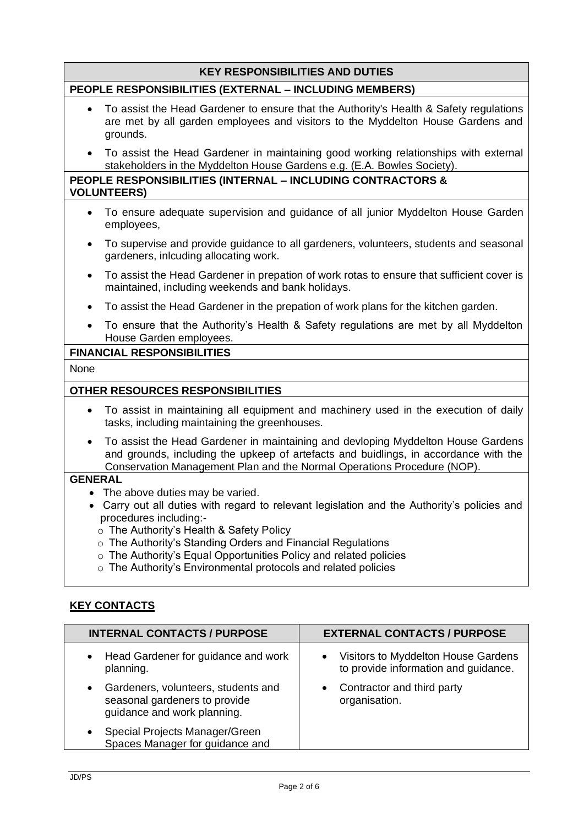| <b>KEY RESPONSIBILITIES AND DUTIES</b>                                                                                                                                                                                                                                                                                                                                                                   |  |
|----------------------------------------------------------------------------------------------------------------------------------------------------------------------------------------------------------------------------------------------------------------------------------------------------------------------------------------------------------------------------------------------------------|--|
| PEOPLE RESPONSIBILITIES (EXTERNAL - INCLUDING MEMBERS)                                                                                                                                                                                                                                                                                                                                                   |  |
| To assist the Head Gardener to ensure that the Authority's Health & Safety regulations<br>$\bullet$<br>are met by all garden employees and visitors to the Myddelton House Gardens and<br>grounds.                                                                                                                                                                                                       |  |
| To assist the Head Gardener in maintaining good working relationships with external<br>$\bullet$<br>stakeholders in the Myddelton House Gardens e.g. (E.A. Bowles Society).                                                                                                                                                                                                                              |  |
| PEOPLE RESPONSIBILITIES (INTERNAL - INCLUDING CONTRACTORS &<br><b>VOLUNTEERS)</b>                                                                                                                                                                                                                                                                                                                        |  |
| To ensure adequate supervision and guidance of all junior Myddelton House Garden<br>$\bullet$<br>employees,                                                                                                                                                                                                                                                                                              |  |
| To supervise and provide guidance to all gardeners, volunteers, students and seasonal<br>$\bullet$<br>gardeners, inlcuding allocating work.                                                                                                                                                                                                                                                              |  |
| To assist the Head Gardener in prepation of work rotas to ensure that sufficient cover is<br>$\bullet$<br>maintained, including weekends and bank holidays.                                                                                                                                                                                                                                              |  |
| To assist the Head Gardener in the prepation of work plans for the kitchen garden.<br>$\bullet$                                                                                                                                                                                                                                                                                                          |  |
| To ensure that the Authority's Health & Safety regulations are met by all Myddelton<br>$\bullet$<br>House Garden employees.                                                                                                                                                                                                                                                                              |  |
| <b>FINANCIAL RESPONSIBILITIES</b>                                                                                                                                                                                                                                                                                                                                                                        |  |
| None                                                                                                                                                                                                                                                                                                                                                                                                     |  |
| OTHER RESOURCES RESPONSIBILITIES                                                                                                                                                                                                                                                                                                                                                                         |  |
| To assist in maintaining all equipment and machinery used in the execution of daily<br>$\bullet$<br>tasks, including maintaining the greenhouses.                                                                                                                                                                                                                                                        |  |
| To assist the Head Gardener in maintaining and devloping Myddelton House Gardens<br>$\bullet$<br>and grounds, including the upkeep of artefacts and buidlings, in accordance with the<br>Conservation Management Plan and the Normal Operations Procedure (NOP).                                                                                                                                         |  |
| <b>GENERAL</b>                                                                                                                                                                                                                                                                                                                                                                                           |  |
| The above duties may be varied.<br>Carry out all duties with regard to relevant legislation and the Authority's policies and<br>procedures including:-<br>o The Authority's Health & Safety Policy<br>○ The Authority's Standing Orders and Financial Regulations<br>o The Authority's Equal Opportunities Policy and related policies<br>o The Authority's Environmental protocols and related policies |  |
|                                                                                                                                                                                                                                                                                                                                                                                                          |  |

## **KEY CONTACTS**

| <b>INTERNAL CONTACTS / PURPOSE</b>                                                                               | <b>EXTERNAL CONTACTS / PURPOSE</b>                                                       |
|------------------------------------------------------------------------------------------------------------------|------------------------------------------------------------------------------------------|
| Head Gardener for guidance and work<br>$\bullet$<br>planning.                                                    | Visitors to Myddelton House Gardens<br>$\bullet$<br>to provide information and guidance. |
| Gardeners, volunteers, students and<br>$\bullet$<br>seasonal gardeners to provide<br>guidance and work planning. | Contractor and third party<br>$\bullet$<br>organisation.                                 |
| Special Projects Manager/Green<br>$\bullet$<br>Spaces Manager for guidance and                                   |                                                                                          |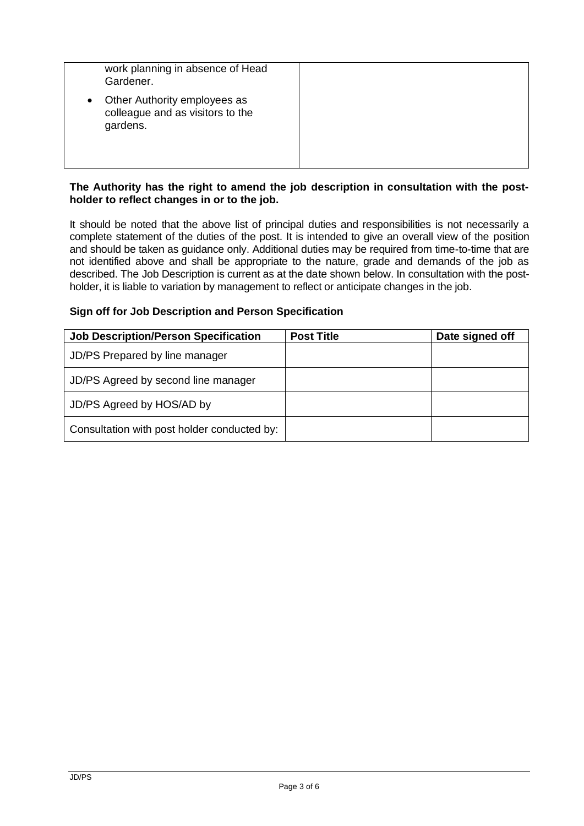| work planning in absence of Head<br>Gardener.<br>Other Authority employees as<br>colleague and as visitors to the<br>gardens. |  |
|-------------------------------------------------------------------------------------------------------------------------------|--|
|                                                                                                                               |  |
|                                                                                                                               |  |

### **The Authority has the right to amend the job description in consultation with the postholder to reflect changes in or to the job.**

It should be noted that the above list of principal duties and responsibilities is not necessarily a complete statement of the duties of the post. It is intended to give an overall view of the position and should be taken as guidance only. Additional duties may be required from time-to-time that are not identified above and shall be appropriate to the nature, grade and demands of the job as described. The Job Description is current as at the date shown below. In consultation with the postholder, it is liable to variation by management to reflect or anticipate changes in the job.

### **Sign off for Job Description and Person Specification**

| <b>Job Description/Person Specification</b> | <b>Post Title</b> | Date signed off |
|---------------------------------------------|-------------------|-----------------|
| JD/PS Prepared by line manager              |                   |                 |
| JD/PS Agreed by second line manager         |                   |                 |
| JD/PS Agreed by HOS/AD by                   |                   |                 |
| Consultation with post holder conducted by: |                   |                 |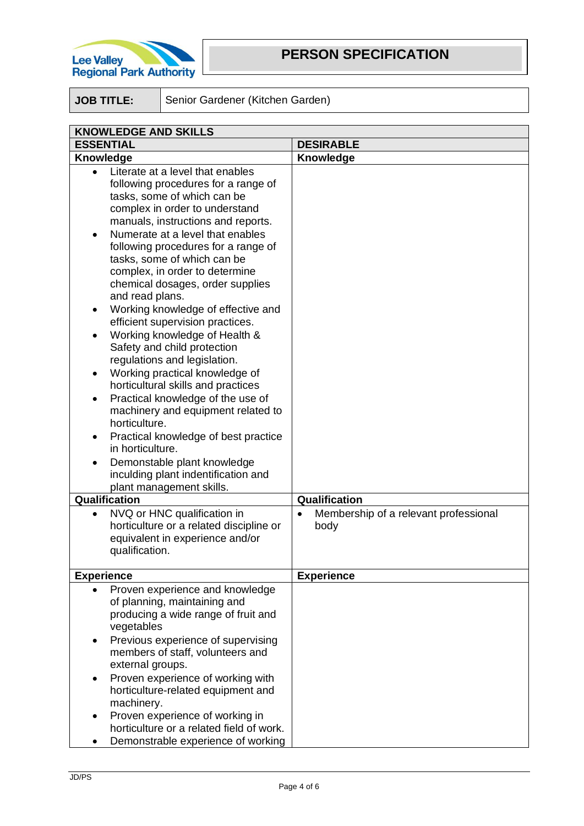

**JOB TITLE:** | Senior Gardener (Kitchen Garden)

| <b>KNOWLEDGE AND SKILLS</b>                                                                                                                                                                                                                                                                                                                                                                                                                                                                                                                                                                                                                                                                                                                                                                                                                                                                                                                                                                            |                                                                     |
|--------------------------------------------------------------------------------------------------------------------------------------------------------------------------------------------------------------------------------------------------------------------------------------------------------------------------------------------------------------------------------------------------------------------------------------------------------------------------------------------------------------------------------------------------------------------------------------------------------------------------------------------------------------------------------------------------------------------------------------------------------------------------------------------------------------------------------------------------------------------------------------------------------------------------------------------------------------------------------------------------------|---------------------------------------------------------------------|
| <b>ESSENTIAL</b>                                                                                                                                                                                                                                                                                                                                                                                                                                                                                                                                                                                                                                                                                                                                                                                                                                                                                                                                                                                       | <b>DESIRABLE</b>                                                    |
| Knowledge                                                                                                                                                                                                                                                                                                                                                                                                                                                                                                                                                                                                                                                                                                                                                                                                                                                                                                                                                                                              | Knowledge                                                           |
| Literate at a level that enables<br>following procedures for a range of<br>tasks, some of which can be<br>complex in order to understand<br>manuals, instructions and reports.<br>Numerate at a level that enables<br>$\bullet$<br>following procedures for a range of<br>tasks, some of which can be<br>complex, in order to determine<br>chemical dosages, order supplies<br>and read plans.<br>Working knowledge of effective and<br>٠<br>efficient supervision practices.<br>Working knowledge of Health &<br>$\bullet$<br>Safety and child protection<br>regulations and legislation.<br>Working practical knowledge of<br>horticultural skills and practices<br>Practical knowledge of the use of<br>$\bullet$<br>machinery and equipment related to<br>horticulture.<br>Practical knowledge of best practice<br>in horticulture.<br>Demonstable plant knowledge<br>inculding plant indentification and<br>plant management skills.<br>Qualification<br>NVQ or HNC qualification in<br>$\bullet$ | Qualification<br>Membership of a relevant professional<br>$\bullet$ |
| horticulture or a related discipline or<br>equivalent in experience and/or<br>qualification.                                                                                                                                                                                                                                                                                                                                                                                                                                                                                                                                                                                                                                                                                                                                                                                                                                                                                                           | body                                                                |
| <b>Experience</b>                                                                                                                                                                                                                                                                                                                                                                                                                                                                                                                                                                                                                                                                                                                                                                                                                                                                                                                                                                                      | <b>Experience</b>                                                   |
| Proven experience and knowledge<br>of planning, maintaining and<br>producing a wide range of fruit and<br>vegetables<br>Previous experience of supervising<br>members of staff, volunteers and<br>external groups.<br>Proven experience of working with<br>horticulture-related equipment and<br>machinery.<br>Proven experience of working in<br>horticulture or a related field of work.<br>Demonstrable experience of working                                                                                                                                                                                                                                                                                                                                                                                                                                                                                                                                                                       |                                                                     |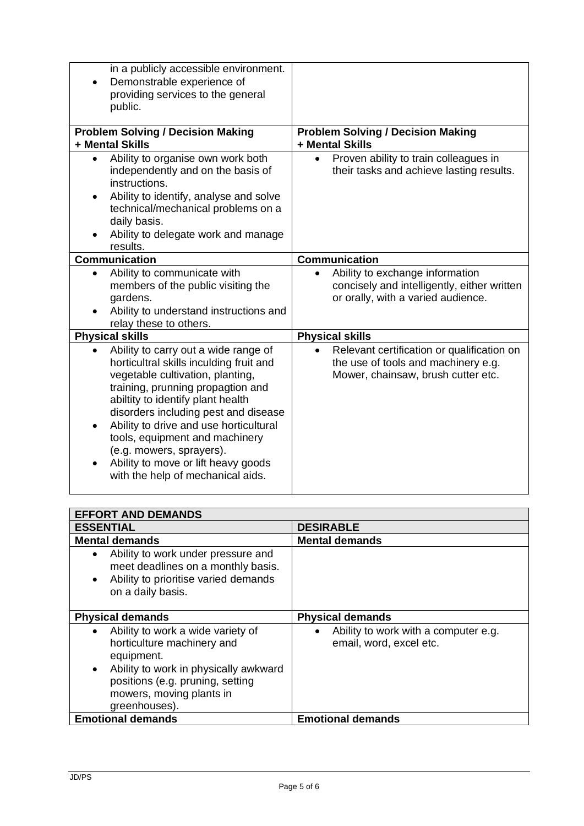| in a publicly accessible environment.<br>Demonstrable experience of<br>providing services to the general<br>public.                                                                                                                                                                                                                                                                                                                    |                                                                                                                                      |
|----------------------------------------------------------------------------------------------------------------------------------------------------------------------------------------------------------------------------------------------------------------------------------------------------------------------------------------------------------------------------------------------------------------------------------------|--------------------------------------------------------------------------------------------------------------------------------------|
| <b>Problem Solving / Decision Making</b><br>+ Mental Skills                                                                                                                                                                                                                                                                                                                                                                            | <b>Problem Solving / Decision Making</b><br>+ Mental Skills                                                                          |
| Ability to organise own work both<br>independently and on the basis of<br>instructions.<br>Ability to identify, analyse and solve                                                                                                                                                                                                                                                                                                      | Proven ability to train colleagues in<br>their tasks and achieve lasting results.                                                    |
| technical/mechanical problems on a<br>daily basis.<br>Ability to delegate work and manage                                                                                                                                                                                                                                                                                                                                              |                                                                                                                                      |
| results.<br><b>Communication</b>                                                                                                                                                                                                                                                                                                                                                                                                       | Communication                                                                                                                        |
| Ability to communicate with<br>members of the public visiting the<br>gardens.<br>Ability to understand instructions and<br>relay these to others.                                                                                                                                                                                                                                                                                      | Ability to exchange information<br>concisely and intelligently, either written<br>or orally, with a varied audience.                 |
| <b>Physical skills</b>                                                                                                                                                                                                                                                                                                                                                                                                                 | <b>Physical skills</b>                                                                                                               |
| Ability to carry out a wide range of<br>$\bullet$<br>horticultral skills inculding fruit and<br>vegetable cultivation, planting,<br>training, prunning propagtion and<br>abiltity to identify plant health<br>disorders including pest and disease<br>Ability to drive and use horticultural<br>tools, equipment and machinery<br>(e.g. mowers, sprayers).<br>Ability to move or lift heavy goods<br>with the help of mechanical aids. | Relevant certification or qualification on<br>$\bullet$<br>the use of tools and machinery e.g.<br>Mower, chainsaw, brush cutter etc. |

| <b>EFFORT AND DEMANDS</b>                                                                                                                                                                                                         |                                                                              |
|-----------------------------------------------------------------------------------------------------------------------------------------------------------------------------------------------------------------------------------|------------------------------------------------------------------------------|
| <b>ESSENTIAL</b>                                                                                                                                                                                                                  | <b>DESIRABLE</b>                                                             |
| <b>Mental demands</b>                                                                                                                                                                                                             | <b>Mental demands</b>                                                        |
| Ability to work under pressure and<br>$\bullet$<br>meet deadlines on a monthly basis.<br>Ability to prioritise varied demands<br>$\bullet$<br>on a daily basis.                                                                   |                                                                              |
| <b>Physical demands</b>                                                                                                                                                                                                           | <b>Physical demands</b>                                                      |
| Ability to work a wide variety of<br>$\bullet$<br>horticulture machinery and<br>equipment.<br>Ability to work in physically awkward<br>$\bullet$<br>positions (e.g. pruning, setting<br>mowers, moving plants in<br>greenhouses). | Ability to work with a computer e.g.<br>$\bullet$<br>email, word, excel etc. |
| <b>Emotional demands</b>                                                                                                                                                                                                          | <b>Emotional demands</b>                                                     |